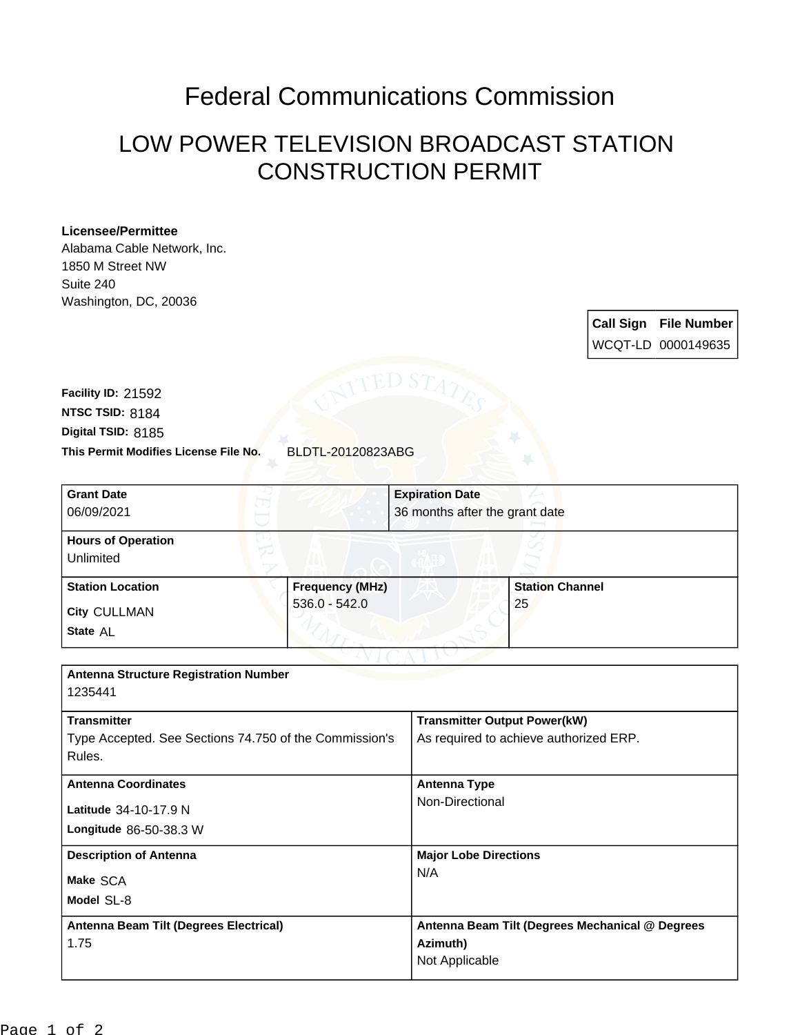## Federal Communications Commission

## LOW POWER TELEVISION BROADCAST STATION CONSTRUCTION PERMIT

## **Licensee/Permittee**

Alabama Cable Network, Inc. 1850 M Street NW Suite 240 Washington, DC, 20036

> **Call Sign File Number** WCQT-LD 0000149635

**This Permit Modifies License File No.** BLDTL-20120823ABG **Digital TSID:** 8185 **NTSC TSID:** 8184 **Facility ID:** 21592

| <b>Grant Date</b>                                      |                        | <b>Expiration Date</b>                 |                                                 |  |
|--------------------------------------------------------|------------------------|----------------------------------------|-------------------------------------------------|--|
| 06/09/2021                                             |                        |                                        | 36 months after the grant date                  |  |
| <b>Hours of Operation</b>                              |                        |                                        |                                                 |  |
| Unlimited                                              |                        |                                        |                                                 |  |
| <b>Station Location</b>                                | <b>Frequency (MHz)</b> |                                        | <b>Station Channel</b>                          |  |
| <b>City CULLMAN</b>                                    | $536.0 - 542.0$        |                                        | 25                                              |  |
| State AL                                               |                        |                                        |                                                 |  |
|                                                        |                        |                                        |                                                 |  |
| <b>Antenna Structure Registration Number</b>           |                        |                                        |                                                 |  |
| 1235441                                                |                        |                                        |                                                 |  |
| <b>Transmitter</b>                                     |                        |                                        | <b>Transmitter Output Power(kW)</b>             |  |
| Type Accepted. See Sections 74.750 of the Commission's |                        | As required to achieve authorized ERP. |                                                 |  |
| Rules.                                                 |                        |                                        |                                                 |  |
| <b>Antenna Coordinates</b>                             |                        | <b>Antenna Type</b>                    |                                                 |  |
| Latitude 34-10-17.9 N                                  |                        | Non-Directional                        |                                                 |  |
| Longitude 86-50-38.3 W                                 |                        |                                        |                                                 |  |
| <b>Description of Antenna</b>                          |                        |                                        | <b>Major Lobe Directions</b>                    |  |
| Make SCA                                               |                        | N/A                                    |                                                 |  |
| Model SL-8                                             |                        |                                        |                                                 |  |
| Antenna Beam Tilt (Degrees Electrical)                 |                        |                                        | Antenna Beam Tilt (Degrees Mechanical @ Degrees |  |
| 1.75                                                   |                        | Azimuth)                               |                                                 |  |
|                                                        |                        | Not Applicable                         |                                                 |  |